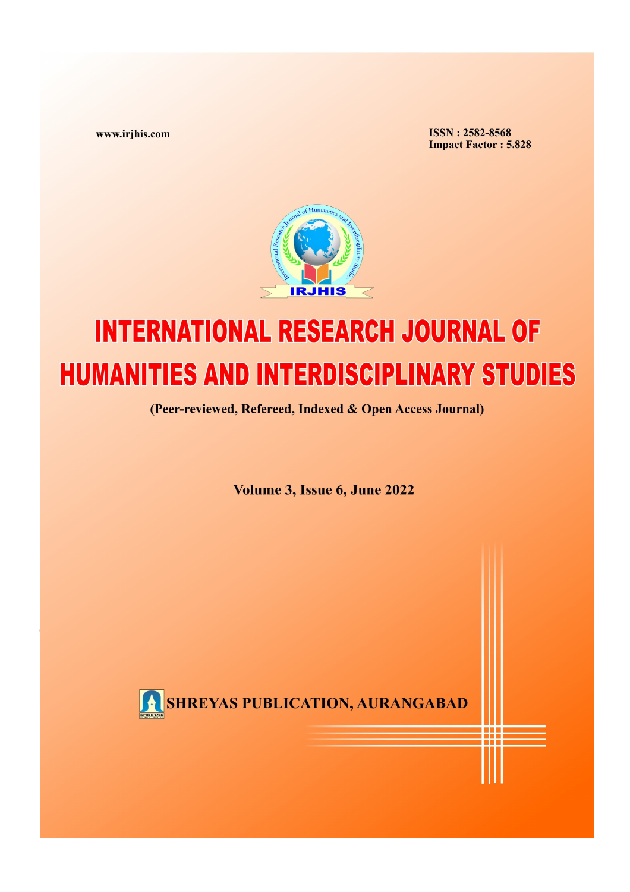www.irjhis.com

**ISSN: 2582-8568 Impact Factor: 5.828** 



## **INTERNATIONAL RESEARCH JOURNAL OF HUMANITIES AND INTERDISCIPLINARY STUDIES**

(Peer-reviewed, Refereed, Indexed & Open Access Journal)

Volume 3, Issue 6, June 2022